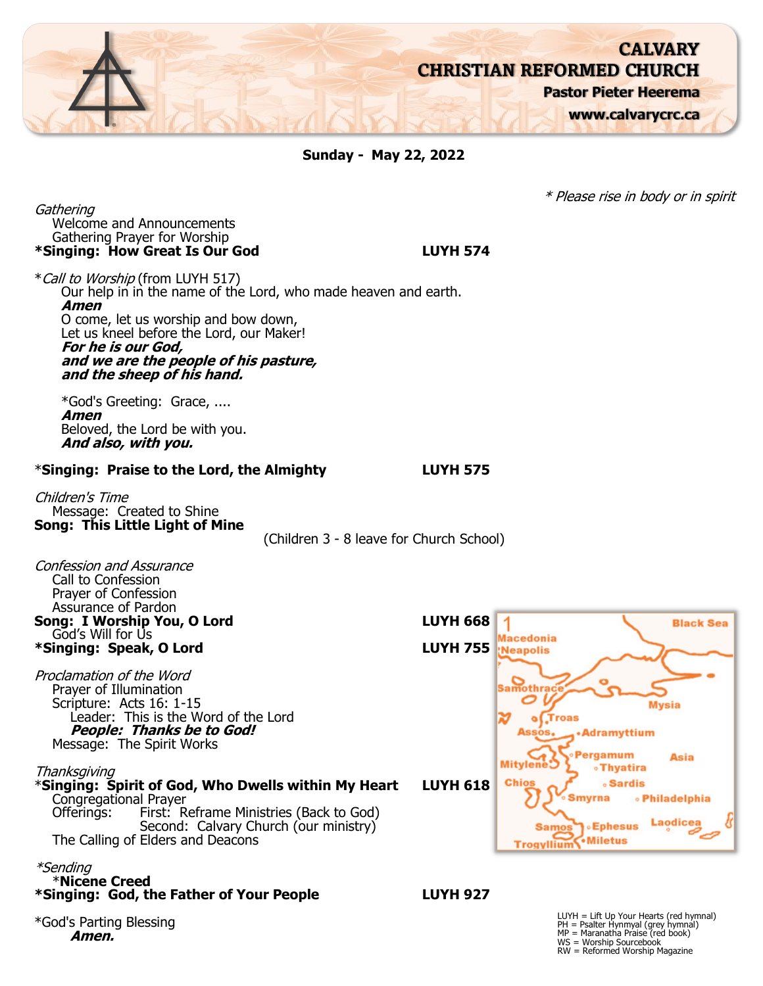

**Sunday - May 22, 2022**

Gathering Welcome and Announcements Gathering Prayer for Worship **\*Singing: How Great Is Our God LUYH 574**

\*Call to Worship (from LUYH 517) Our help in in the name of the Lord, who made heaven and earth. **Amen** O come, let us worship and bow down, Let us kneel before the Lord, our Maker! **For he is our God, and we are the people of his pasture, and the sheep of his hand.**

\*God's Greeting: Grace, .... **Amen** Beloved, the Lord be with you. **And also, with you.**

#### \***Singing: Praise to the Lord, the Almighty LUYH 575**

Children's Time Message: Created to Shine **Song: This Little Light of Mine**

(Children 3 - 8 leave for Church School)



\*God's Parting Blessing **Amen.**

\* Please rise in body or in spirit

WS = Worship Sourcebook RW = Reformed Worship Magazine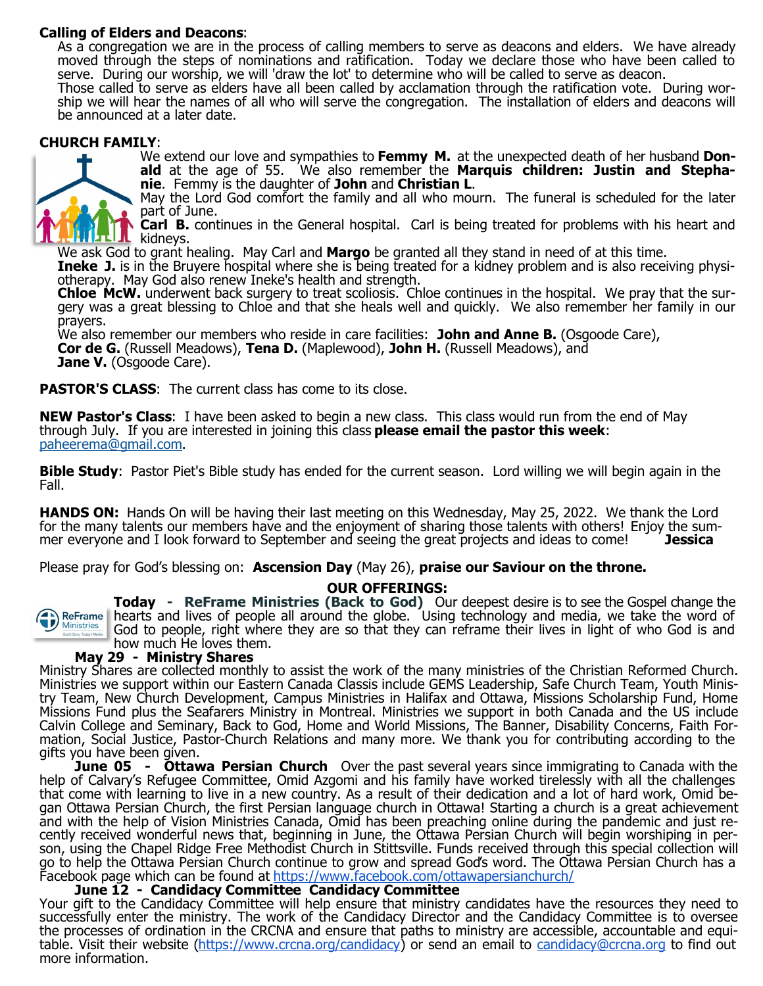## <span id="page-1-0"></span>**Calling of Elders and Deacons**:

As a congregation we are in the process of calling members to serve as deacons and elders. We have already moved through the steps of nominations and ratification. Today we declare those who have been called to serve. During our worship, we will 'draw the lot' to determine who will be called to serve as deacon.

Those called to serve as elders have all been called by acclamation through the ratification vote. During worship we will hear the names of all who will serve the congregation. The installation of elders and deacons will be announced at a later date.

#### **CHURCH FAMILY**:



We extend our love and sympathies to **Femmy M.** at the unexpected death of her husband **Donald** at the age of 55. We also remember the **Marquis children: Justin and Stephanie**. Femmy is the daughter of **John** and **Christian L**.

May the Lord God comfort the family and all who mourn. The funeral is scheduled for the later part of June.

**Carl B.** continues in the General hospital. Carl is being treated for problems with his heart and **IL** kidneys.

We ask God to grant healing. May Carl and **Margo** be granted all they stand in need of at this time.

**Ineke J.** is in the Bruyere hospital where she is being treated for a kidney problem and is also receiving physiotherapy. May God also renew Ineke's health and strength.

**Chloe McW.** underwent back surgery to treat scoliosis. Chloe continues in the hospital. We pray that the surgery was a great blessing to Chloe and that she heals well and quickly. We also remember her family in our prayers.

We also remember our members who reside in care facilities: John and Anne B. (Osgoode Care), **Cor de G.** (Russell Meadows), **Tena D.** (Maplewood), **John H.** (Russell Meadows), and **Jane V.** (Osgoode Care).

**PASTOR'S CLASS:** The current class has come to its close.

**NEW Pastor's Class**: I have been asked to begin a new class. This class would run from the end of May through July. If you are interested in joining this class **please email the pastor this week**: [pahe](#page-1-0)[erema@gmail.com.](mailto:heerema@gmail.com)

**Bible Study**: Pastor Piet's Bible study has ended for the current season. Lord willing we will begin again in the Fall.

**HANDS ON:** Hands On will be having their last meeting on this Wednesday, May 25, 2022. We thank the Lord for the many talents our members have and the enjoyment of sharing those talents with others! Enjoy the summer everyone and I look forward to September and seeing the great projects and ideas to come! **Jessica**

Please pray for God's blessing on: **Ascension Day** (May 26), **praise our Saviour on the throne.**

#### **OUR OFFERINGS:**



**Today - ReFrame Ministries (Back to God)** Our deepest desire is to see the Gospel change the hearts and lives of people all around the globe. Using technology and media, we take the word of God to people, right where they are so that they can reframe their lives in light of who God is and how much He loves them.

### **May 29 - Ministry Shares**

Ministry Shares are collected monthly to assist the work of the many ministries of the Christian Reformed Church. Ministries we support within our Eastern Canada Classis include GEMS Leadership, Safe Church Team, Youth Ministry Team, New Church Development, Campus Ministries in Halifax and Ottawa, Missions Scholarship Fund, Home Missions Fund plus the Seafarers Ministry in Montreal. Ministries we support in both Canada and the US include Calvin College and Seminary, Back to God, Home and World Missions, The Banner, Disability Concerns, Faith Formation, Social Justice, Pastor-Church Relations and many more. We thank you for contributing according to the gifts you have been given.

**June 05 - Ottawa Persian Church** Over the past several years since immigrating to Canada with the help of Calvary's Refugee Committee, Omid Azgomi and his family have worked tirelessly with all the challenges that come with learning to live in a new country. As a result of their dedication and a lot of hard work, Omid began Ottawa Persian Church, the first Persian language church in Ottawa! Starting a church is a great achievement and with the help of Vision Ministries Canada, Omid has been preaching online during the pandemic and just recently received wonderful news that, beginning in June, the Ottawa Persian Church will begin worshiping in person, using the Chapel Ridge Free Methodist Church in Stittsville. Funds received through this special collection will go to help the Ottawa Persian Church continue to grow and spread God's word. The Ottawa Persian Church has a Facebook page which can be found at<https://www.facebook.com/ottawapersianchurch/>

### **June 12 - Candidacy Committee Candidacy Committee**

Your gift to the Candidacy Committee will help ensure that ministry candidates have the resources they need to successfully enter the ministry. The work of the Candidacy Director and the Candidacy Committee is to oversee the processes of ordination in the CRCNA and ensure that paths to ministry are accessible, accountable and equi-table. Visit their website [\(https://www.crcna.org/candidacy\)](https://www.crcna.org/candidacy) or send an email to [candidacy@crcna.org](mailto:candidacy@crcna.org) to find out more information.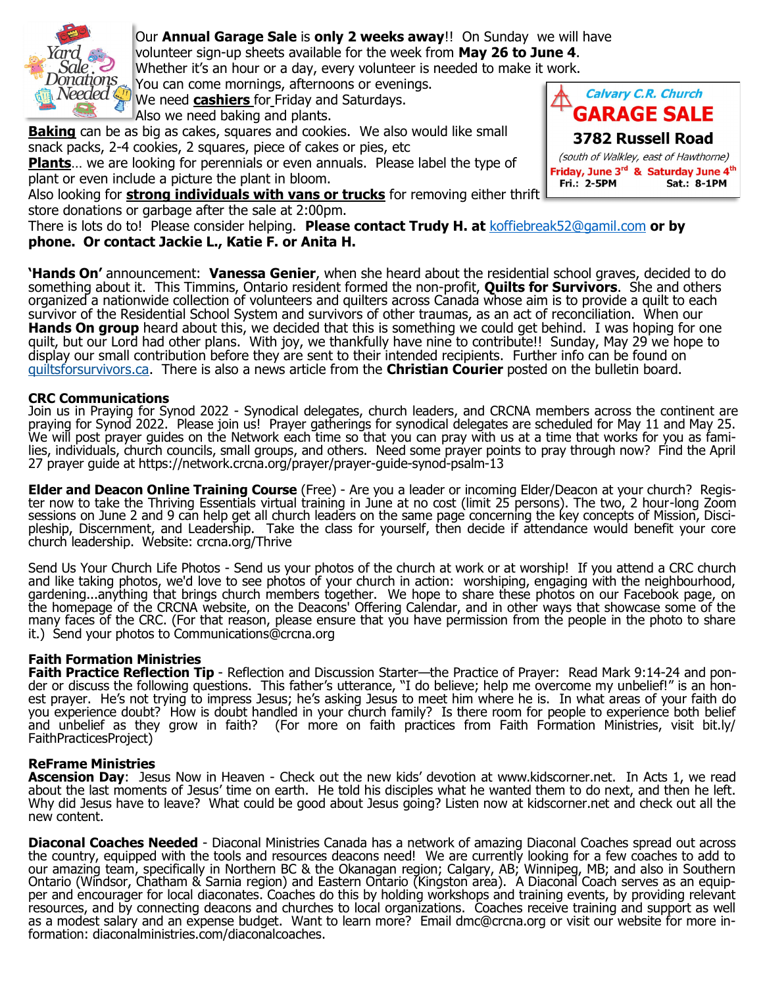<span id="page-2-0"></span>

Our **Annual Garage Sale** is **only 2 weeks away**!! On Sunday we will have volunteer sign-up sheets available for the week from **May 26 to June 4**. Whether it's an hour or a day, every volunteer is needed to make it work. You can come mornings, afternoons or evenings.

Whitehorge **You can come mornings, afternoons or evening**<br>Needed **Cashiers** for Friday and Saturdays.

Also we need baking and plants.

**Baking** can be as big as cakes, squares and cookies. We also would like small snack packs, 2-4 cookies, 2 squares, piece of cakes or pies, etc

**Plants**… we are looking for perennials or even annuals. Please label the type of plant or even include a picture the plant in bloom.

Also looking for **strong individuals with vans or trucks** for removing either thrift store donations or garbage after the sale at 2:00pm.

There is lots do to! Please consider helping. **Please contact Trudy H. at** [koffiebreak52@gamil.com](mailto:koffiebreak52@gamil.com) **or by phone. Or contact Jackie L., Katie F. or Anita H.**

**'Hands On'** announcement: **Vanessa Genier**, when she heard about the residential school graves, decided to do something about it. This Timmins, Ontario resident formed the non-profit, **Quilts for Survivors**. She and others organized a nationwide collection of volunteers and quilters across Canada whose aim is to provide a quilt to each survivor of the Residential School System and survivors of other traumas, as an act of reconciliation. When our **Hands On group** heard about this, we decided that this is something we could get behind. I was hoping for one quilt, but our Lord had other plans. With joy, we thankfully have nine to contribute!! Sunday, May 29 we hope to display our small contribution before they are sent to their intended recipients. Further info can be found on [quiltsforsurvivors.ca.](#page-2-0) There is also a news article from the **Christian Courier** posted on the bulletin board.

### **CRC Communications**

Join us in Praying for Synod 2022 - Synodical delegates, church leaders, and CRCNA members across the continent are praying for Synod 2022. Please join us! Prayer gatherings for synodical delegates are scheduled for May 11 and May 25. We will post prayer guides on the Network each time so that you can pray with us at a time that works for you as families, individuals, church councils, small groups, and others. Need some prayer points to pray through now? Find the April 27 prayer guide at https://network.crcna.org/prayer/prayer-guide-synod-psalm-13

**Elder and Deacon Online Training Course** (Free) - Are you a leader or incoming Elder/Deacon at your church? Register now to take the Thriving Essentials virtual training in June at no cost (limit 25 persons). The two, 2 hour-long Zoom sessions on June 2 and 9 can help get all church leaders on the same page concerning the key concepts of Mission, Discipleship, Discernment, and Leadership. Take the class for yourself, then decide if attendance would benefit your core church leadership. Website: crcna.org/Thrive

Send Us Your Church Life Photos - Send us your photos of the church at work or at worship! If you attend a CRC church and like taking photos, we'd love to see photos of your church in action: worshiping, engaging with the neighbourhood, gardening...anything that brings church members together. We hope to share these photos on our Facebook page, on the homepage of the CRCNA website, on the Deacons' Offering Calendar, and in other ways that showcase some of the many faces of the CRC. (For that reason, please ensure that you have permission from the people in the photo to share it.) Send your photos to Communications@crcna.org

## **Faith Formation Ministries**

**Faith Practice Reflection Tip** - Reflection and Discussion Starter—the Practice of Prayer: Read Mark 9:14-24 and ponder or discuss the following questions. This father's utterance, "I do believe; help me overcome my unbelief!" is an honest prayer. He's not trying to impress Jesus; he's asking Jesus to meet him where he is. In what areas of your faith do you experience doubt? How is doubt handled in your church family? Is there room for people to experience both belief and unbelief as they grow in faith? (For more on faith practices from Faith Formation Ministries, visit bit.ly/ FaithPracticesProject)

### **ReFrame Ministries**

**Ascension Day**: Jesus Now in Heaven - Check out the new kids' devotion at www.kidscorner.net. In Acts 1, we read about the last moments of Jesus' time on earth. He told his disciples what he wanted them to do next, and then he left. Why did Jesus have to leave? What could be good about Jesus going? Listen now at kidscorner.net and check out all the new content.

**Diaconal Coaches Needed** - Diaconal Ministries Canada has a network of amazing Diaconal Coaches spread out across the country, equipped with the tools and resources deacons need! We are currently looking for a few coaches to add to our amazing team, specifically in Northern BC & the Okanagan region; Calgary, AB; Winnipeg, MB; and also in Southern Ontario (Windsor, Chatham & Sarnia region) and Eastern Ontario (Kingston area). A Diaconal Coach serves as an equipper and encourager for local diaconates. Coaches do this by holding workshops and training events, by providing relevant resources, and by connecting deacons and churches to local organizations. Coaches receive training and support as well as a modest salary and an expense budget. Want to learn more? Email dmc@crcna.org or visit our website for more information: diaconalministries.com/diaconalcoaches.

Calvary C.R. Church **GARAGE SALE 3782 Russell Road** (south of Walkley, east of Hawthorne) Friday, June 3<sup>rd</sup> & Saturday June 4<sup>th</sup> Fri.: 2-5PM **Sat.: 8-1PM**